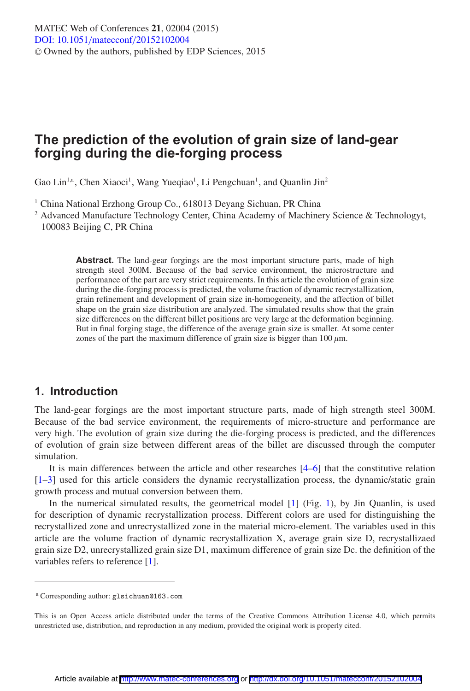# **The prediction of the evolution of grain size of land-gear forging during the die-forging process**

Gao Lin<sup>1,a</sup>, Chen Xiaoci<sup>1</sup>, Wang Yueqiao<sup>1</sup>, Li Pengchuan<sup>1</sup>, and Quanlin Jin<sup>2</sup>

<sup>1</sup> China National Erzhong Group Co., 618013 Devang Sichuan, PR China

<sup>2</sup> Advanced Manufacture Technology Center, China Academy of Machinery Science & Technologyt, 100083 Beijing C, PR China

> Abstract. The land-gear forgings are the most important structure parts, made of high strength steel 300M. Because of the bad service environment, the microstructure and performance of the part are very strict requirements. In this article the evolution of grain size during the die-forging process is predicted, the volume fraction of dynamic recrystallization, grain refinement and development of grain size in-homogeneity, and the affection of billet shape on the grain size distribution are analyzed. The simulated results show that the grain size differences on the different billet positions are very large at the deformation beginning. But in final forging stage, the difference of the average grain size is smaller. At some center zones of the part the maximum difference of grain size is bigger than  $100 \mu m$ .

### **1. Introduction**

The land-gear forgings are the most important structure parts, made of high strength steel 300M. Because of the bad service environment, the requirements of micro-structure and performance are very high. The evolution of grain size during the die-forging process is predicted, and the differences of evolution of grain size between different areas of the billet are discussed through the computer simulation.

It is main differences between the article and other researches [\[4](#page-6-0)[–6\]](#page-6-1) that the constitutive relation [\[1](#page-6-2)[–3\]](#page-6-3) used for this article considers the dynamic recrystallization process, the dynamic/static grain growth process and mutual conversion between them.

In the numerical simulated results, the geometrical model  $[1]$  $[1]$  (Fig. [1\)](#page-1-0), by Jin Quanlin, is used for description of dynamic recrystallization process. Different colors are used for distinguishing the recrystallized zone and unrecrystallized zone in the material micro-element. The variables used in this article are the volume fraction of dynamic recrystallization X, average grain size D, recrystallizaed grain size D2, unrecrystallized grain size D1, maximum difference of grain size Dc. the definition of the variables refers to reference [\[1\]](#page-6-2).

<sup>a</sup> Corresponding author: glsichuan@163.com

This is an Open Access article distributed under the terms of the Creative Commons Attribution License 4.0, which permits unrestricted use, distribution, and reproduction in any medium, provided the original work is properly cited.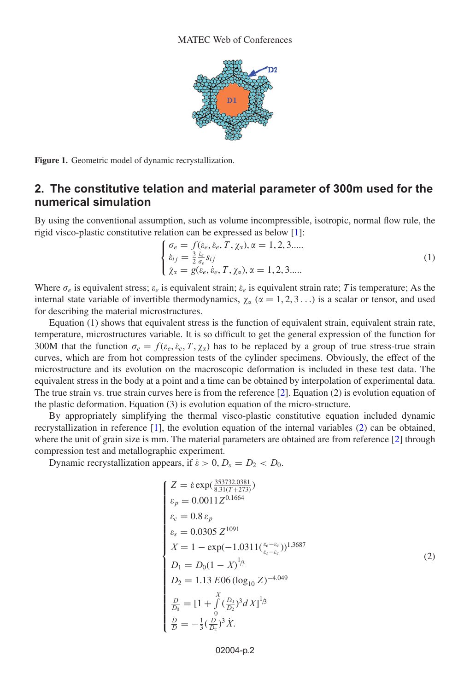

<span id="page-1-0"></span>**Figure 1.** Geometric model of dynamic recrystallization.

### **2. The constitutive telation and material parameter of 300m used for the numerical simulation**

By using the conventional assumption, such as volume incompressible, isotropic, normal flow rule, the rigid visco-plastic constitutive relation can be expressed as below [\[1\]](#page-6-2):

$$
\begin{cases}\n\sigma_e = f(\varepsilon_e, \varepsilon_e, T, \chi_\alpha), \alpha = 1, 2, 3 \dots \\
\dot{\varepsilon}_{ij} = \frac{3}{2} \frac{\dot{\varepsilon}_e}{\sigma_e} s_{ij} \\
\dot{\chi}_\alpha = g(\varepsilon_e, \varepsilon_e, T, \chi_\alpha), \alpha = 1, 2, 3 \dots\n\end{cases} (1)
$$

Where  $\sigma_e$  is equivalent stress;  $\varepsilon_e$  is equivalent strain;  $\varepsilon_e$  is equivalent strain rate; T is temperature; As the internal state variable of invertible thermodynamics,  $\chi_{\alpha}$  ( $\alpha = 1, 2, 3...$ ) is a scalar or tensor, and used for describing the material microstructures.

Equation (1) shows that equivalent stress is the function of equivalent strain, equivalent strain rate, temperature, microstructures variable. It is so difficult to get the general expression of the function for 300M that the function  $\sigma_e = f(\varepsilon_e, \dot{\varepsilon}_e, T, \chi_\alpha)$  has to be replaced by a group of true stress-true strain curves, which are from hot compression tests of the cylinder specimens. Obviously, the effect of the microstructure and its evolution on the macroscopic deformation is included in these test data. The equivalent stress in the body at a point and a time can be obtained by interpolation of experimental data. The true strain vs. true strain curves here is from the reference [\[2\]](#page-6-4). Equation (2) is evolution equation of the plastic deformation. Equation (3) is evolution equation of the micro-structure.

By appropriately simplifying the thermal visco-plastic constitutive equation included dynamic recrystallization in reference [\[1\]](#page-6-2), the evolution equation of the internal variables [\(2\)](#page-1-1) can be obtained, where the unit of grain size is mm. The material parameters are obtained are from reference [\[2\]](#page-6-4) through compression test and metallographic experiment.

<span id="page-1-1"></span>Dynamic recrystallization appears, if  $\dot{\epsilon} > 0$ ,  $D_s = D_2 < D_0$ .

$$
Z = \hat{\varepsilon} \exp(\frac{353732.0381}{8.31(T+273)})
$$
  
\n $\varepsilon_p = 0.0011 Z^{0.1664}$   
\n $\varepsilon_c = 0.8 \varepsilon_p$   
\n $\varepsilon_s = 0.0305 Z^{1091}$   
\n $X = 1 - \exp(-1.0311(\frac{\varepsilon_e - \varepsilon_c}{\varepsilon_s - \varepsilon_c}))^{1.3687}$   
\n $D_1 = D_0(1 - X)^{1/3}$   
\n $D_2 = 1.13 E06 (\log_{10} Z)^{-4.049}$   
\n $\frac{D}{D_0} = [1 + \int_0^X (\frac{D_0}{D_2})^3 dX]^{1/3}$   
\n $\frac{\hat{D}}{D} = -\frac{1}{3}(\frac{D}{D_2})^3 \hat{X}.$ 

02004-p.2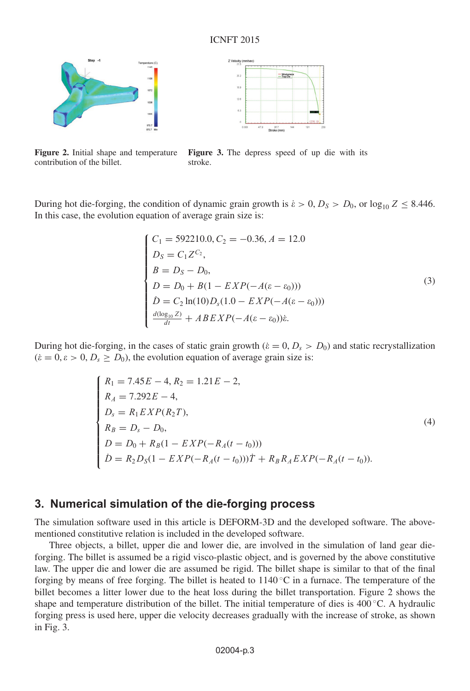#### ICNFT 2015



contribution of the billet.



**Figure 2.** Initial shape and temperature **Figure 3.** The depress speed of up die with its stroke.

During hot die-forging, the condition of dynamic grain growth is  $\dot{\epsilon} > 0$ ,  $D_S > D_0$ , or  $\log_{10} Z \leq 8.446$ . In this case, the evolution equation of average grain size is:

$$
\begin{cases}\nC_1 = 592210.0, C_2 = -0.36, A = 12.0 \\
D_S = C_1 Z^{C_2}, \\
B = D_S - D_0, \\
D = D_0 + B(1 - EXP(-A(\varepsilon - \varepsilon_0))) \\
\dot{D} = C_2 \ln(10) D_s (1.0 - EXP(-A(\varepsilon - \varepsilon_0))) \\
\frac{d(\log_{10} Z)}{dt} + ABEXP(-A(\varepsilon - \varepsilon_0))\dot{\varepsilon}.\n\end{cases}
$$
\n(3)

During hot die-forging, in the cases of static grain growth ( $\dot{\epsilon} = 0, D_s > D_0$ ) and static recrystallization  $(\dot{\varepsilon} = 0, \varepsilon > 0, D_s \ge D_0)$ , the evolution equation of average grain size is:

$$
\begin{cases}\nR_1 = 7.45E - 4, R_2 = 1.21E - 2, \\
R_A = 7.292E - 4, \\
D_s = R_1 EXP(R_2T), \\
R_B = D_s - D_0, \\
D = D_0 + R_B(1 - EXP(-R_A(t - t_0))) \\
\dot{D} = R_2 D_S(1 - EXP(-R_A(t - t_0)))\dot{T} + R_B R_A EXP(-R_A(t - t_0)).\n\end{cases}
$$
\n(4)

### **3. Numerical simulation of the die-forging process**

The simulation software used in this article is DEFORM-3D and the developed software. The abovementioned constitutive relation is included in the developed software.

Three objects, a billet, upper die and lower die, are involved in the simulation of land gear dieforging. The billet is assumed be a rigid visco-plastic object, and is governed by the above constitutive law. The upper die and lower die are assumed be rigid. The billet shape is similar to that of the final forging by means of free forging. The billet is heated to  $1140\degree C$  in a furnace. The temperature of the billet becomes a litter lower due to the heat loss during the billet transportation. Figure 2 shows the shape and temperature distribution of the billet. The initial temperature of dies is  $400\degree$ C. A hydraulic forging press is used here, upper die velocity decreases gradually with the increase of stroke, as shown in Fig. 3.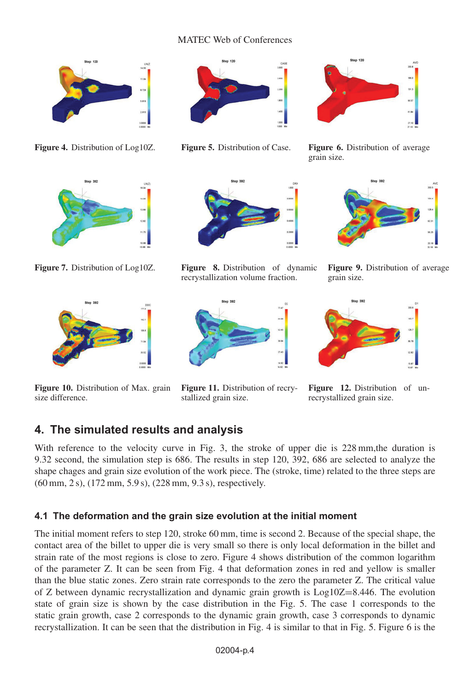#### MATEC Web of Conferences



**Figure 4.** Distribution of Log10Z. **Figure 5.** Distribution of Case. **Figure 6.** Distribution of average



**Figure 7.** Distribution of Log10Z. **Figure 8.** Distribution of dynamic



**Figure 10.** Distribution of Max. grain size difference.



recrystallization volume fraction.



grain size.



**Figure 9.** Distribution of average grain size.



**Figure 12.** Distribution of unrecrystallized grain size.

### **4. The simulated results and analysis**

With reference to the velocity curve in Fig. 3, the stroke of upper die is 228 mm, the duration is 9.32 second, the simulation step is 686. The results in step 120, 392, 686 are selected to analyze the shape chages and grain size evolution of the work piece. The (stroke, time) related to the three steps are (60 mm, 2 s), (172 mm, 5.9 s), (228 mm, 9.3 s), respectively.

**Figure 11.** Distribution of recry-

stallized grain size.

#### **4.1 The deformation and the grain size evolution at the initial moment**

The initial moment refers to step 120, stroke 60 mm, time is second 2. Because of the special shape, the contact area of the billet to upper die is very small so there is only local deformation in the billet and strain rate of the most regions is close to zero. Figure 4 shows distribution of the common logarithm of the parameter Z. It can be seen from Fig. 4 that deformation zones in red and yellow is smaller than the blue static zones. Zero strain rate corresponds to the zero the parameter Z. The critical value of Z between dynamic recrystallization and dynamic grain growth is Log10Z=8.446. The evolution state of grain size is shown by the case distribution in the Fig. 5. The case 1 corresponds to the static grain growth, case 2 corresponds to the dynamic grain growth, case 3 corresponds to dynamic recrystallization. It can be seen that the distribution in Fig. 4 is similar to that in Fig. 5. Figure 6 is the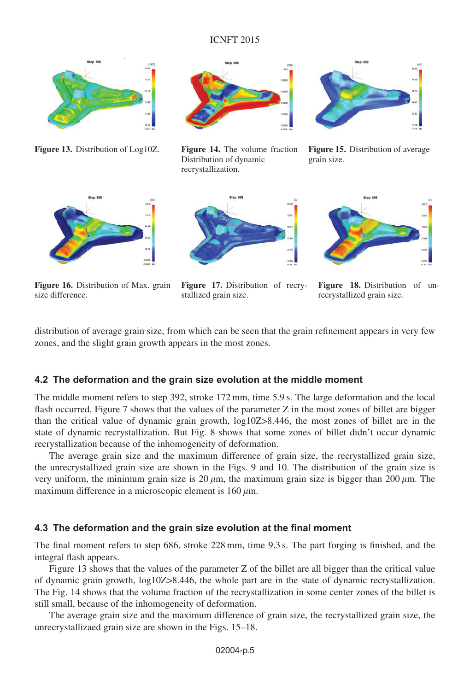#### ICNFT 2015



**Figure 13.** Distribution of Log10Z. **Figure 14.** The volume fraction



Distribution of dynamic recrystallization.



**Figure 15.** Distribution of average grain size.



**Figure 16.** Distribution of Max. grain size difference.



**Figure 17.** Distribution of recrystallized grain size.



**Figure 18.** Distribution of unrecrystallized grain size.

distribution of average grain size, from which can be seen that the grain refinement appears in very few zones, and the slight grain growth appears in the most zones.

#### **4.2 The deformation and the grain size evolution at the middle moment**

The middle moment refers to step 392, stroke 172 mm, time 5.9 s. The large deformation and the local flash occurred. Figure 7 shows that the values of the parameter Z in the most zones of billet are bigger than the critical value of dynamic grain growth, log10Z>8.446, the most zones of billet are in the state of dynamic recrystallization. But Fig. 8 shows that some zones of billet didn't occur dynamic recrystallization because of the inhomogeneity of deformation.

The average grain size and the maximum difference of grain size, the recrystallized grain size, the unrecrystallized grain size are shown in the Figs. 9 and 10. The distribution of the grain size is very uniform, the minimum grain size is  $20 \mu$ m, the maximum grain size is bigger than  $200 \mu$ m. The maximum difference in a microscopic element is  $160 \mu m$ .

#### **4.3 The deformation and the grain size evolution at the final moment**

The final moment refers to step 686, stroke 228 mm, time 9.3 s. The part forging is finished, and the integral flash appears.

Figure 13 shows that the values of the parameter Z of the billet are all bigger than the critical value of dynamic grain growth, log10Z>8.446, the whole part are in the state of dynamic recrystallization. The Fig. 14 shows that the volume fraction of the recrystallization in some center zones of the billet is still small, because of the inhomogeneity of deformation.

The average grain size and the maximum difference of grain size, the recrystallized grain size, the unrecrystallizaed grain size are shown in the Figs. 15–18.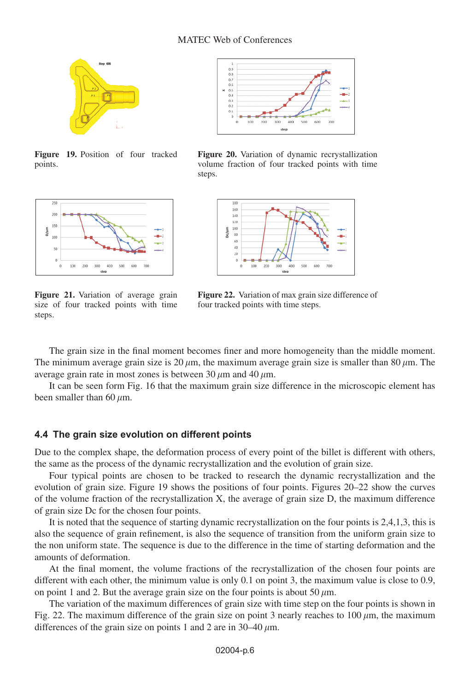#### MATEC Web of Conferences



**Figure 19.** Position of four tracked points.



**Figure 21.** Variation of average grain size of four tracked points with time steps.



**Figure 20.** Variation of dynamic recrystallization volume fraction of four tracked points with time steps.



**Figure 22.** Variation of max grain size difference of four tracked points with time steps.

The grain size in the final moment becomes finer and more homogeneity than the middle moment. The minimum average grain size is 20  $\mu$ m, the maximum average grain size is smaller than 80  $\mu$ m. The average grain rate in most zones is between 30  $\mu$ m and 40  $\mu$ m.

It can be seen form Fig. 16 that the maximum grain size difference in the microscopic element has been smaller than 60  $\mu$ m.

#### **4.4 The grain size evolution on different points**

Due to the complex shape, the deformation process of every point of the billet is different with others, the same as the process of the dynamic recrystallization and the evolution of grain size.

Four typical points are chosen to be tracked to research the dynamic recrystallization and the evolution of grain size. Figure 19 shows the positions of four points. Figures 20–22 show the curves of the volume fraction of the recrystallization X, the average of grain size D, the maximum difference of grain size Dc for the chosen four points.

It is noted that the sequence of starting dynamic recrystallization on the four points is 2,4,1,3, this is also the sequence of grain refinement, is also the sequence of transition from the uniform grain size to the non uniform state. The sequence is due to the difference in the time of starting deformation and the amounts of deformation.

At the final moment, the volume fractions of the recrystallization of the chosen four points are different with each other, the minimum value is only 0.1 on point 3, the maximum value is close to 0.9, on point 1 and 2. But the average grain size on the four points is about 50  $\mu$ m.

The variation of the maximum differences of grain size with time step on the four points is shown in Fig. 22. The maximum difference of the grain size on point 3 nearly reaches to  $100 \mu m$ , the maximum differences of the grain size on points 1 and 2 are in 30–40  $\mu$ m.